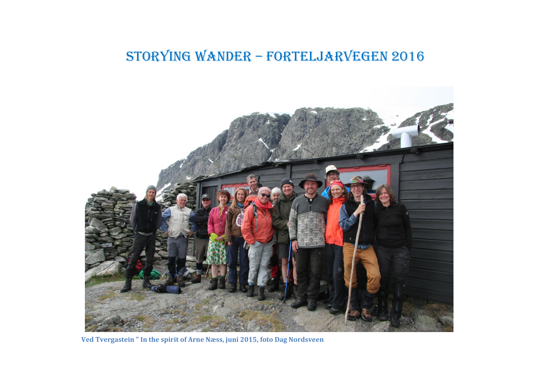## STORYING wander – Forteljarvegen 2016



**Ved Tvergastein " In the spirit of Arne Næss, juni 2015, foto Dag Nordsveen**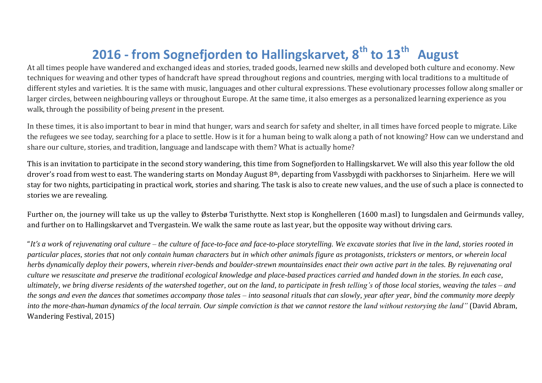## **2016 - from Sognefjorden to Hallingskarvet, 8th to 13th August**

At all times people have wandered and exchanged ideas and stories, traded goods, learned new skills and developed both culture and economy. New techniques for weaving and other types of handcraft have spread throughout regions and countries, merging with local traditions to a multitude of different styles and varieties. It is the same with music, languages and other cultural expressions. These evolutionary processes follow along smaller or larger circles, between neighbouring valleys or throughout Europe. At the same time, it also emerges as a personalized learning experience as you walk, through the possibility of being *present* in the present.

In these times, it is also important to bear in mind that hunger, wars and search for safety and shelter, in all times have forced people to migrate. Like the refugees we see today, searching for a place to settle. How is it for a human being to walk along a path of not knowing? How can we understand and share our culture, stories, and tradition, language and landscape with them? What is actually home?

This is an invitation to participate in the second story wandering, this time from Sognefjorden to Hallingskarvet. We will also this year follow the old drover's road from west to east. The wandering starts on Monday August 8th, departing from Vassbygdi with packhorses to Sinjarheim. Here we will stay for two nights, participating in practical work, stories and sharing. The task is also to create new values, and the use of such a place is connected to stories we are revealing.

Further on, the journey will take us up the valley to Østerbø Turisthytte. Next stop is Konghelleren (1600 m.asl) to Iungsdalen and Geirmunds valley, and further on to Hallingskarvet and Tvergastein. We walk the same route as last year, but the opposite way without driving cars.

"*It's a work of rejuvenating oral culture – the culture of face-to-face and face-to-place storytelling. We excavate stories that live in the land, stories rooted in particular places, stories that not only contain human characters but in which other animals figure as protagonists, tricksters or mentors, or wherein local herbs dynamically deploy their powers, wherein river-bends and boulder-strewn mountainsides enact their own active part in the tales. By rejuvenating oral culture we resuscitate and preserve the traditional ecological knowledge and place-based practices carried and handed down in the stories. In each case, ultimately, we bring diverse residents of the watershed together, out on the land, to participate in fresh telling's of those local stories, weaving the tales – and the songs and even the dances that sometimes accompany those tales – into seasonal rituals that can slowly, year after year, bind the community more deeply into the more-than-human dynamics of the local terrain. Our simple conviction is that we cannot restore the land without restorying the land"* (David Abram, Wandering Festival, 2015)